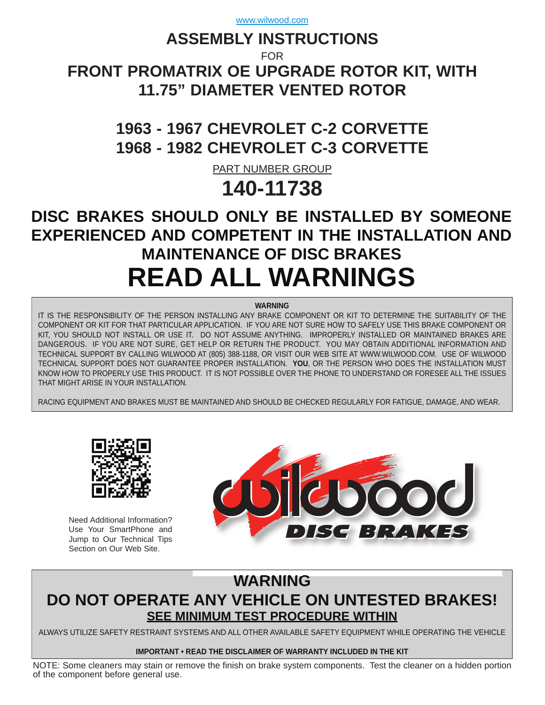# **ASSEMBLY INSTRUCTIONS**

FOR

**[FRONT PROMATRIX OE UPGRADE ROTOR KIT, WITH](http://www.wilwood.com/Search/PartNoSearch.aspx?itemno=11738) 11.75" DIAMETER VENTED ROTOR**

# **1963 - 1967 CHEVROLET C-2 CORVETTE 1968 - 1982 CHEVROLET C-3 CORVETTE**

PART NUMBER GROUP

# **140-11738**

# **DISC BRAKES SHOULD ONLY BE INSTALLED BY SOMEONE EXPERIENCED AND COMPETENT IN THE INSTALLATION AND MAINTENANCE OF DISC BRAKES READ ALL WARNINGS**

**WARNING**

IT IS THE RESPONSIBILITY OF THE PERSON INSTALLING ANY BRAKE COMPONENT OR KIT TO DETERMINE THE SUITABILITY OF THE COMPONENT OR KIT FOR THAT PARTICULAR APPLICATION. IF YOU ARE NOT SURE HOW TO SAFELY USE THIS BRAKE COMPONENT OR KIT, YOU SHOULD NOT INSTALL OR USE IT. DO NOT ASSUME ANYTHING. IMPROPERLY INSTALLED OR MAINTAINED BRAKES ARE DANGEROUS. IF YOU ARE NOT SURE, GET HELP OR RETURN THE PRODUCT. YOU MAY OBTAIN ADDITIONAL INFORMATION AND TECHNICAL SUPPORT BY CALLING WILWOOD AT (805) 388-1188, OR VISIT OUR WEB SITE AT WWW.WILWOOD.COM. USE OF WILWOOD TECHNICAL SUPPORT DOES NOT GUARANTEE PROPER INSTALLATION. **YOU**, OR THE PERSON WHO DOES THE INSTALLATION MUST KNOW HOW TO PROPERLY USE THIS PRODUCT. IT IS NOT POSSIBLE OVER THE PHONE TO UNDERSTAND OR FORESEE ALL THE ISSUES THAT MIGHT ARISE IN YOUR INSTALLATION.

RACING EQUIPMENT AND BRAKES MUST BE MAINTAINED AND SHOULD BE CHECKED REGULARLY FOR FATIGUE, DAMAGE, AND WEAR.



Need Additional Information? Use Your SmartPhone and Jump to Our Technical Tips Section on Our Web Site.



# **WARNING DO NOT OPERATE ANY VEHICLE ON UNTESTED BRAKES! SEE MINIMUM TEST PROCEDURE WITHIN**

ALWAYS UTILIZE SAFETY RESTRAINT SYSTEMS AND ALL OTHER AVAILABLE SAFETY EQUIPMENT WHILE OPERATING THE VEHICLE

### **IMPORTANT • READ THE DISCLAIMER OF WARRANTY INCLUDED IN THE KIT**

NOTE: Some cleaners may stain or remove the finish on brake system components. Test the cleaner on a hidden portion of the component before general use.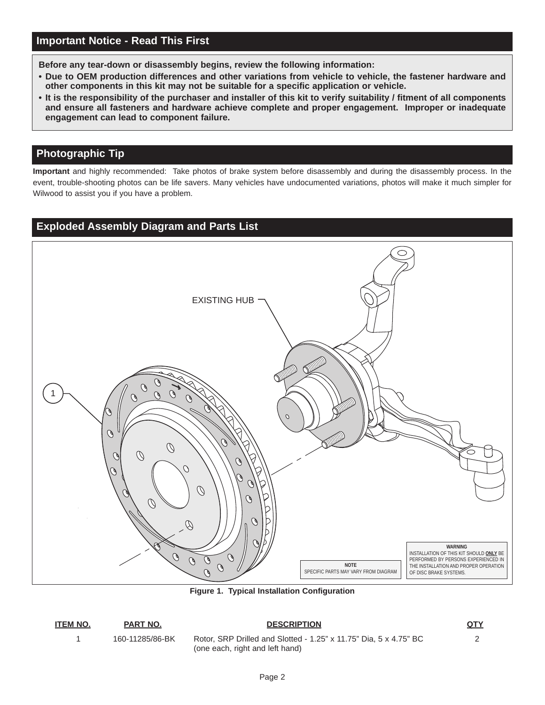**Before any tear-down or disassembly begins, review the following information:**

- **Due to OEM production differences and other variations from vehicle to vehicle, the fastener hardware and other components in this kit may not be suitable for a specific application or vehicle.**
- **[It is the responsibility of the purchaser and installer of this kit to verify suitability / fitment of all components](www.wilwood.com) and ensure all fasteners and hardware achieve complete and proper engagement. Improper or inadequate engagement can lead to component failure.**

# **Photographic Tip**

**Important** and highly recommended: Take photos of brake system before disassembly and during the disassembly process. In the [event, trouble-shooting photos can be life savers. Many vehicles have undocumented variations, photos will make it much simpler for](www.wilwood.com) Wilwood to assist you if you have a problem.

# **Exploded Assembly Diagram and Parts List**



**Figure 1. Typical Installation Configuration**

#### **ITEM NO. PART NO. DESCRIPTION QTY**

1 160-11285/86-BK [Rotor, SRP Drilled and Slotted - 1.25" x 11.75" Dia, 5 x 4.75" BC](www.wilwood.com) 2 (one each, right and left hand)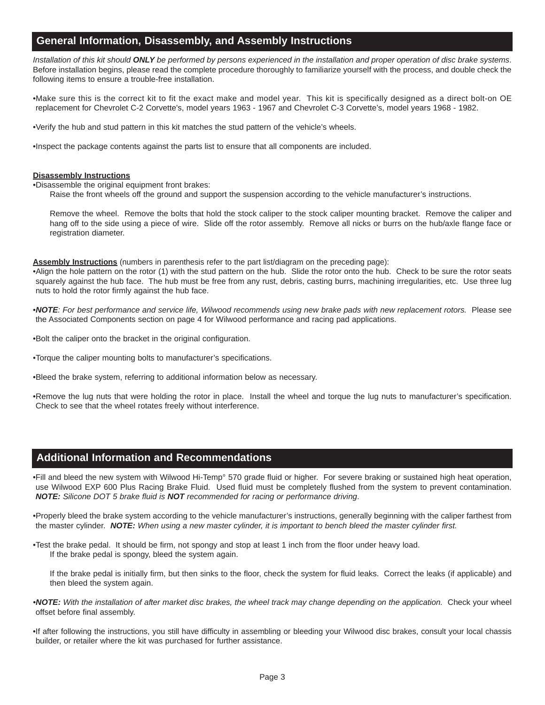## **General Information, Disassembly, and Assembly Instructions**

*Installation of this kit should ONLY be performed by persons experienced in the installation and proper operation of disc brake systems*. Before installation begins, please read the complete procedure thoroughly to familiarize yourself with the process, and double check the following items to ensure a trouble-free installation.

[•Make sure this is the correct kit to fit the exact make and model year. This kit is specifically designed as a direct bolt-on OE](www.wilwood.com) replacement for Chevrolet C-2 Corvette's, model years 1963 - 1967 and Chevrolet C-3 Corvette's, model years 1968 - 1982.

•Verify the hub and stud pattern in this kit matches the stud pattern of the vehicle's wheels.

•Inspect the package contents against the parts list to ensure that all components are included.

#### **Disassembly Instructions**

•Disassemble the original equipment front brakes:

Raise the front wheels off the ground and support the suspension according to the vehicle manufacturer's instructions.

Remove the wheel. Remove the bolts that hold the stock caliper to the stock caliper mounting bracket. Remove the caliper and hang off to the side using a piece of wire. Slide off the rotor assembly. Remove all nicks or burrs on the hub/axle flange face or registration diameter.

**Assembly Instructions** (numbers in parenthesis refer to the part list/diagram on the preceding page):

•Align the hole pattern on the rotor (1) with the stud pattern on the hub. Slide the rotor onto the hub. Check to be sure the rotor seats squarely against the hub face. The hub must be free from any rust, debris, casting burrs, machining irregularities, etc. Use three lug nuts to hold the rotor firmly against the hub face.

•*NOTE: For best performance and service life, Wilwood recommends using new brake pads with new replacement rotors.* Please see the Associated Components section on page 4 for Wilwood performance and racing pad applications.

•Bolt the caliper onto the bracket in the original configuration.

•Torque the caliper mounting bolts to manufacturer's specifications.

•Bleed the brake system, referring to additional information below as necessary.

•Remove the lug nuts that were holding the rotor in place. Install the wheel and torque the lug nuts to manufacturer's specification. Check to see that the wheel rotates freely without interference.

## **Additional Information and Recommendations**

[•Fill and bleed the new system with Wilwood Hi-Temp° 570 grade fluid or higher. For severe braking or sustained high heat operation,](www.wilwood.com) use Wilwood EXP 600 Plus Racing Brake Fluid. Used fluid must be completely flushed from the system to prevent contamination. *NOTE: Silicone DOT 5 brake fluid is NOT recommended for racing or performance driving*.

•Properly bleed the brake system according to the vehicle manufacturer's instructions, generally beginning with the caliper farthest from the master cylinder. *NOTE: When using a new master cylinder, it is important to bench bleed the master cylinder first.*

•Test the brake pedal. It should be firm, not spongy and stop at least 1 inch from the floor under heavy load. If the brake pedal is spongy, bleed the system again.

If the brake pedal is initially firm, but then sinks to the floor, check the system for fluid leaks. Correct the leaks (if applicable) and then bleed the system again.

•*NOTE: With the installation of after market disc brakes, the wheel track may change depending on the application.* Check your wheel offset before final assembly.

•If after following the instructions, you still have difficulty in assembling or bleeding your Wilwood disc brakes, consult your local chassis builder, or retailer where the kit was purchased for further assistance.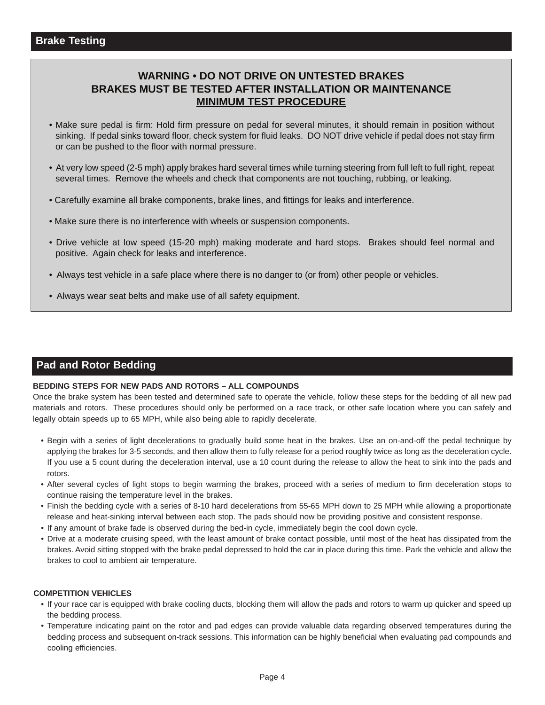# **WARNING • DO NOT DRIVE ON UNTESTED BRAKES BRAKES MUST BE TESTED AFTER INSTALLATION OR MAINTENANCE MINIMUM TEST PROCEDURE**

- Make sure pedal is firm: Hold firm pressure on pedal for several minutes, it should remain in position without sinking. If pedal sinks toward floor, check system for fluid leaks. DO NOT drive vehicle if pedal does not stay firm or can be pushed to the floor with normal pressure.
- [At very low speed \(2-5 mph\) apply brakes hard several times while turning steering from full left to full right, repeat](www.wilwood.com)  several times. Remove the wheels and check that components are not touching, rubbing, or leaking.
- Carefully examine all brake components, brake lines, and fittings for leaks and interference.
- Make sure there is no interference with wheels or suspension components.
- Drive vehicle at low speed (15-20 mph) making moderate and hard stops. Brakes should feel normal and positive. Again check for leaks and interference.
- Always test vehicle in a safe place where there is no danger to (or from) other people or vehicles.
- Always wear seat belts and make use of all safety equipment.

## **Pad and Rotor Bedding**

#### **BEDDING STEPS FOR NEW PADS AND ROTORS – ALL COMPOUNDS**

[Once the brake system has been tested and determined safe to operate the vehicle, follow these steps for the bedding of all new pad](www.wilwood.com) materials and rotors. These procedures should only be performed on a race track, or other safe location where you can safely and legally obtain speeds up to 65 MPH, while also being able to rapidly decelerate.

- Begin with a series of light decelerations to gradually build some heat in the brakes. Use an on-and-off the pedal technique by applying the brakes for 3-5 seconds, and then allow them to fully release for a period roughly twice as long as the deceleration cycle. If you use a 5 count during the deceleration interval, use a 10 count during the release to allow the heat to sink into the pads and rotors.
- After several cycles of light stops to begin warming the brakes, proceed with a series of medium to firm deceleration stops to continue raising the temperature level in the brakes.
- Finish the bedding cycle with a series of 8-10 hard decelerations from 55-65 MPH down to 25 MPH while allowing a proportionate release and heat-sinking interval between each stop. The pads should now be providing positive and consistent response.
- If any amount of brake fade is observed during the bed-in cycle, immediately begin the cool down cycle.
- Drive at a moderate cruising speed, with the least amount of brake contact possible, until most of the heat has dissipated from the brakes. Avoid sitting stopped with the brake pedal depressed to hold the car in place during this time. Park the vehicle and allow the brakes to cool to ambient air temperature.

#### **COMPETITION VEHICLES**

- If your race car is equipped with brake cooling ducts, blocking them will allow the pads and rotors to warm up quicker and speed up the bedding process.
- Temperature indicating paint on the rotor and pad edges can provide valuable data regarding observed temperatures during the bedding process and subsequent on-track sessions. This information can be highly beneficial when evaluating pad compounds and cooling efficiencies.